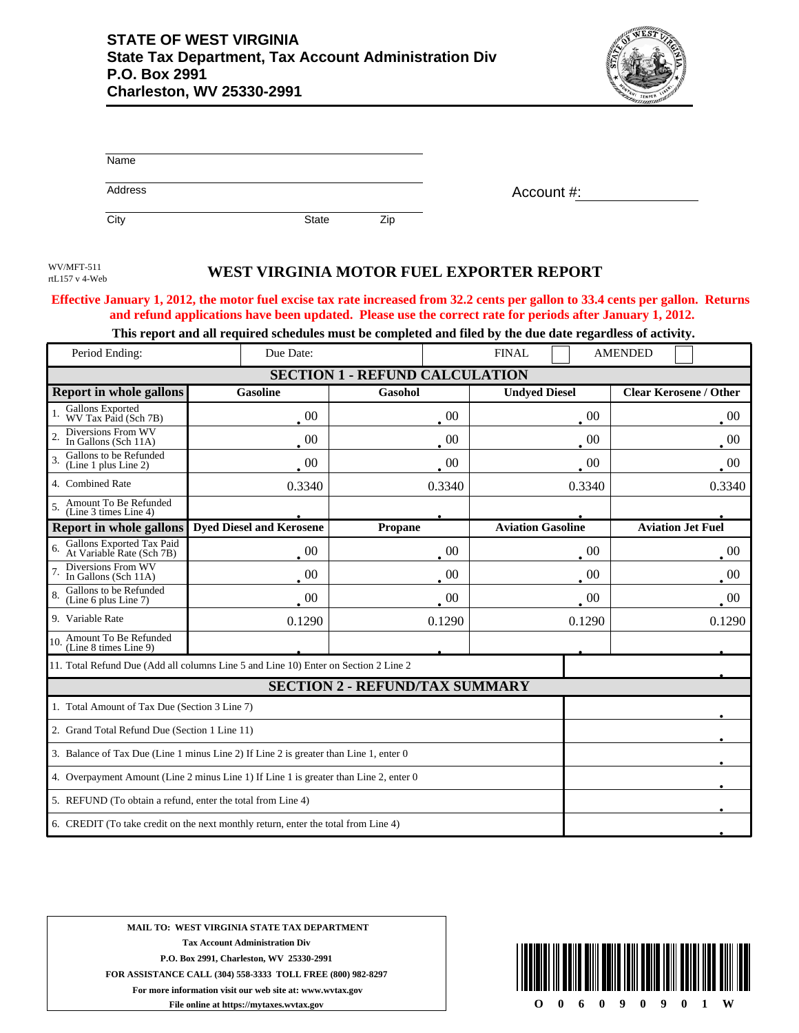

| Name    |              |     |            |
|---------|--------------|-----|------------|
| Address |              |     | Account #: |
| City    | <b>State</b> | Zip |            |

rtL157 v 4-Web

## WV/MFT-511<br> **WEST VIRGINIA MOTOR FUEL EXPORTER REPORT**

## **Effective January 1, 2012, the motor fuel excise tax rate increased from 32.2 cents per gallon to 33.4 cents per gallon. Returns and refund applications have been updated. Please use the correct rate for periods after January 1, 2012.**

## **This report and all required schedules must be completed and filed by the due date regardless of activity.**

| Period Ending:                                                                        | Due Date:                       | <b>FINAL</b>   |                          | <b>AMENDED</b>                |  |  |  |
|---------------------------------------------------------------------------------------|---------------------------------|----------------|--------------------------|-------------------------------|--|--|--|
| <b>SECTION 1 - REFUND CALCULATION</b>                                                 |                                 |                |                          |                               |  |  |  |
| <b>Report in whole gallons</b>                                                        | <b>Gasoline</b>                 | Gasohol        | <b>Undyed Diesel</b>     | <b>Clear Kerosene / Other</b> |  |  |  |
| Gallons Exported<br>WV Tax Paid (Sch 7B)                                              | $00\,$                          | 00             | 00                       | 00                            |  |  |  |
| Diversions From WV<br>$\mathfrak{D}$<br>In Gallons (Sch 11A)                          | $00\,$                          | 00             | 00                       | 00                            |  |  |  |
| Gallons to be Refunded<br>3.<br>(Line 1 plus Line 2)                                  | $\overline{00}$                 | 00             | 00                       | $00\,$                        |  |  |  |
| 4. Combined Rate                                                                      | 0.3340                          | 0.3340         | 0.3340                   | 0.3340                        |  |  |  |
| Amount To Be Refunded<br>5.<br>(Line 3 times Line 4)                                  |                                 |                |                          |                               |  |  |  |
| Report in whole gallons                                                               | <b>Dyed Diesel and Kerosene</b> | <b>Propane</b> | <b>Aviation Gasoline</b> | <b>Aviation Jet Fuel</b>      |  |  |  |
| Gallons Exported Tax Paid<br>At Variable Rate (Sch 7B)<br>6.                          | 00                              | 00             | $00\,$                   | 00                            |  |  |  |
| Diversions From WV<br>In Gallons (Sch 11A)                                            | $\cdot$ 00                      | $00\,$         | 00                       | $00\,$                        |  |  |  |
| Gallons to be Refunded<br>$\overline{8}$<br>(Line 6 plus Line 7)                      | -00                             | 00             | 00                       | -00                           |  |  |  |
| 9. Variable Rate                                                                      | 0.1290                          | 0.1290         | 0.1290                   | 0.1290                        |  |  |  |
| 10. Amount To Be Refunded<br>(Line 8 times Line 9)                                    |                                 |                |                          |                               |  |  |  |
| 11. Total Refund Due (Add all columns Line 5 and Line 10) Enter on Section 2 Line 2   |                                 |                |                          |                               |  |  |  |
| <b>SECTION 2 - REFUND/TAX SUMMARY</b>                                                 |                                 |                |                          |                               |  |  |  |
| 1. Total Amount of Tax Due (Section 3 Line 7)                                         |                                 |                |                          |                               |  |  |  |
| 2. Grand Total Refund Due (Section 1 Line 11)                                         |                                 |                |                          |                               |  |  |  |
| 3. Balance of Tax Due (Line 1 minus Line 2) If Line 2 is greater than Line 1, enter 0 |                                 |                |                          |                               |  |  |  |
| 4. Overpayment Amount (Line 2 minus Line 1) If Line 1 is greater than Line 2, enter 0 |                                 |                |                          |                               |  |  |  |
| 5. REFUND (To obtain a refund, enter the total from Line 4)                           |                                 |                |                          |                               |  |  |  |
| 6. CREDIT (To take credit on the next monthly return, enter the total from Line 4)    |                                 |                |                          |                               |  |  |  |

**MAIL TO: WEST VIRGINIA STATE TAX DEPARTMENT Tax Account Administration Div P.O. Box 2991, Charleston, WV 25330-2991 FOR ASSISTANCE CALL (304) 558-3333 TOLL FREE (800) 982-8297 For more information visit our web site at: www.wvtax.gov File online at https://mytaxes.wvtax.gov**